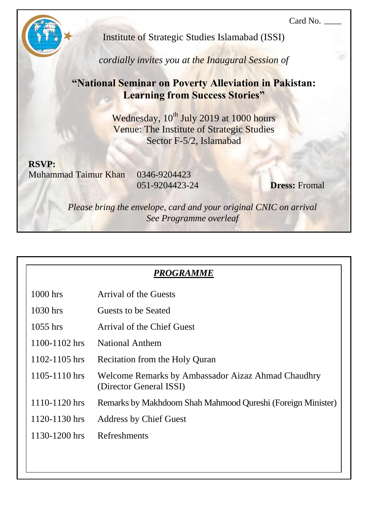Card No.



Institute of Strategic Studies Islamabad (ISSI)

*cordially invites you at the Inaugural Session of*

# **"National Seminar on Poverty Alleviation in Pakistan: Learning from Success Stories"**

Wednesday, 10<sup>th</sup> July 2019 at 1000 hours Venue: The Institute of Strategic Studies Sector F-5/2, Islamabad

**RSVP:** Muhammad Taimur Khan 0346-9204423

 $1000$  hrs

 $1030$  hrs

 $1055$  hrs

 $1100 - 1102$  hrs

051-9204423-24 **Dress:** Fromal

*Please bring the envelope, card and your original CNIC on arrival See Programme overleaf*

| <i>PRUGRAMME</i>           |
|----------------------------|
| Arrival of the Guests      |
| Guests to be Seated        |
| Arrival of the Chief Guest |
| <b>National Anthem</b>     |

*PROGRAMME*

- 1102-1105 hrs Recitation from the Holy Quran
- 1105-1110 hrs Welcome Remarks by Ambassador Aizaz Ahmad Chaudhry (Director General ISSI)
- 1110-1120 hrs Remarks by Makhdoom Shah Mahmood Qureshi (Foreign Minister)
- 1120-1130 hrs Address by Chief Guest
- 1130-1200 hrs Refreshments